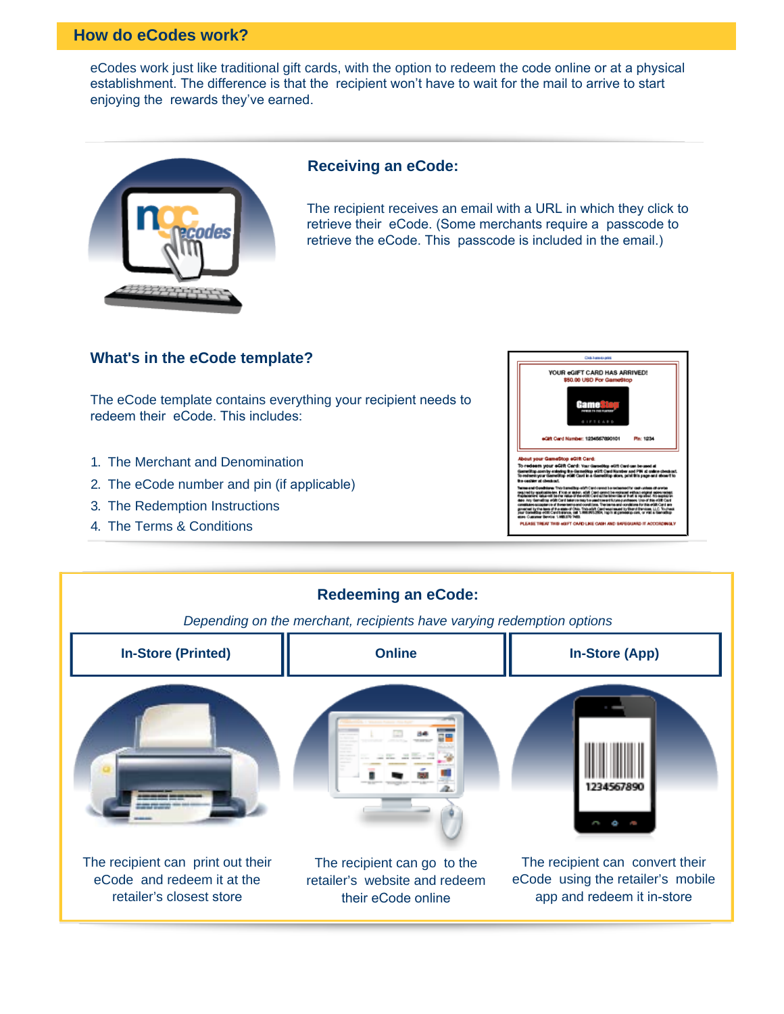## **How do eCodes work?**

eCodes work just like traditional gift cards, with the option to redeem the code online or at a physical establishment. The difference is that the recipient won't have to wait for the mail to arrive to start enjoying the rewards they've earned.



## **Receiving an eCode:**

The recipient receives an email with a URL in which they click to retrieve their eCode. (Some merchants require a passcode to retrieve the eCode. This passcode is included in the email.)

## **What's in the eCode template?**

The eCode template contains everything your recipient needs to redeem their eCode. This includes:

- 1. The Merchant and Denomination
- 2. The eCode number and pin (if applicable)
- 3. The Redemption Instructions
- 4. The Terms & Conditions